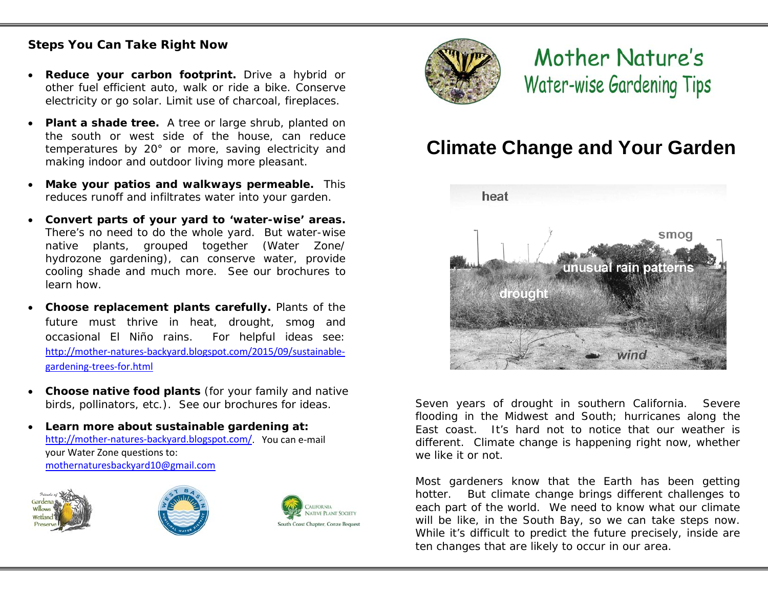## **Steps You Can Take Right Now**

- **Reduce your carbon footprint.** Drive a hybrid or other fuel efficient auto, walk or ride a bike. Conserve electricity or go solar. Limit use of charcoal, fireplaces.
- **Plant a shade tree.** A tree or large shrub, planted on the south or west side of the house, can reduce temperatures by 20° or more, saving electricity and making indoor and outdoor living more pleasant.
- **Make your patios and walkways permeable.** This reduces runoff and infiltrates water into your garden.
- **Convert parts of your yard to 'water-wise' areas.**  There's no need to do the whole yard. But water-wise native plants, grouped together (Water Zone/ hydrozone gardening), can conserve water, provide cooling shade and much more. See our brochures to learn how.
- **Choose replacement plants carefully.** Plants of the future must thrive in heat, drought, smog and occasional El Niño rains. For helpful ideas see: [http://mother-natures-backyard.blogspot.com/2015/09/sustainable](http://mother-natures-backyard.blogspot.com/2015/09/sustainable-gardening-trees-for.html)[gardening-trees-for.html](http://mother-natures-backyard.blogspot.com/2015/09/sustainable-gardening-trees-for.html)
- **Choose native food plants** (for your family and native birds, pollinators, etc.). See our brochures for ideas.
- *Learn more about sustainable gardening at:* [http://mother-natures-backyard.blogspot.com/.](http://mother-natures-backyard.blogspot.com/) You can e-mail your Water Zone questions to: [mothernaturesbackyard10@gmail.com](mailto:mothernaturesbackyard10@gmail.com)









## Mother Nature's Water-wise Gardening Tips

## **Climate Change and Your Garden**



Seven years of drought in southern California. Severe flooding in the Midwest and South; hurricanes along the East coast. It's hard not to notice that our weather is different. Climate change is happening *right now,* whether we like it or not.

Most gardeners know that the Earth has been getting hotter. But climate change brings different challenges to each part of the world. We need to know what our climate will be like, *in the South Bay*, so we can take steps now. While it's difficult to predict the future precisely, inside are ten changes that are likely to occur in our area.